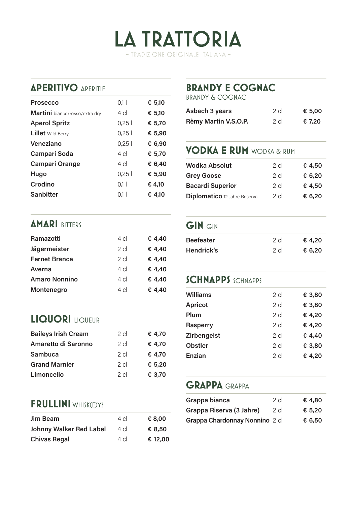

### **APERITIVO** APERITIF

| <b>Prosecco</b>                | 0,1            | € 5,10 |
|--------------------------------|----------------|--------|
| Martini bianco/rosso/extra dry | $4 \text{ cl}$ | € 5,10 |
| <b>Aperol Spritz</b>           | 0,25           | € 5,70 |
| <b>Lillet</b> Wild Berry       | 0,25           | € 5,90 |
| Veneziano                      | 0,25           | € 6,90 |
| <b>Campari Soda</b>            | $4 \text{ cl}$ | € 5,70 |
| <b>Campari Orange</b>          | $4 \text{ cl}$ | € 6,40 |
| Hugo                           | 0,25           | € 5,90 |
| Crodino                        | 0.1            | € 4,10 |
| <b>Sanbitter</b>               | 0,1 l          | € 4.10 |
|                                |                |        |

# **BRANDY E COGNAC**

BRANDY & COGNAC

| Asbach 3 years       | 2 cl   | € 5,00 |
|----------------------|--------|--------|
| Rèmy Martin V.S.O.P. | $2$ cl | € 7,20 |

# **VODKA E RUM** WODKA & RUM

| <b>Wodka Absolut</b>         | $2$ cl | € 4,50 |
|------------------------------|--------|--------|
| <b>Grey Goose</b>            | $2$ cl | € 6,20 |
| <b>Bacardi Superior</b>      | $2$ cl | € 4,50 |
| Diplomatico 12 Jahre Reserva | $2$ cl | € 6,20 |

### **AMARI BITTERS**

| Ramazotti            | $4 \text{ cl}$ | € 4,40 |
|----------------------|----------------|--------|
| Jägermeister         | $2$ cl         | € 4,40 |
| <b>Fernet Branca</b> | $2$ cl         | € 4,40 |
| Averna               | $4 \text{ cl}$ | € 4,40 |
| <b>Amaro Nonnino</b> | $4 \text{ cl}$ | € 4,40 |
| Montenegro           | $4 \text{ cl}$ | € 4,40 |
|                      |                |        |

## **LIQUORI** LIQUEUR

| $2$ cl | € 4,70 |
|--------|--------|
| $2$ cl | € 4,70 |
| $2$ cl | € 4,70 |
| $2$ cl | € 5,20 |
| $2$ cl | € 3,70 |
|        |        |

#### **FRULLINI** WHISK(E)YS

| <b>Jim Beam</b>                | 4 cl   | € 8.00  |
|--------------------------------|--------|---------|
| <b>Johnny Walker Red Label</b> | 4 cl   | € 8,50  |
| <b>Chivas Regal</b>            | $4$ cl | € 12,00 |

### **GIN** GIN

| <b>Beefeater</b> | 2 cl | € 4.20 |
|------------------|------|--------|
| Hendrick's       | 2 cl | € 6,20 |

#### **SCHNAPPS** SCHNAPPS

| <b>Williams</b>    | 2 cl   | € 3,80 |
|--------------------|--------|--------|
| <b>Apricot</b>     | $2$ cl | € 3,80 |
| Plum               | 2 cl   | € 4,20 |
| <b>Rasperry</b>    | 2 cl   | € 4,20 |
| <b>Zirbengeist</b> | 2 cl   | € 4,40 |
| <b>Obstler</b>     | 2 cl   | € 3,80 |
| Enzian             | $2$ cl | € 4,20 |
|                    |        |        |

#### **GRAPPA** GRAPPA

| Grappa bianca                  | 2 cl | € 4,80 |
|--------------------------------|------|--------|
| Grappa Riserva (3 Jahre)       | 2 cl | € 5,20 |
| Grappa Chardonnay Nonnino 2 cl |      | € 6,50 |